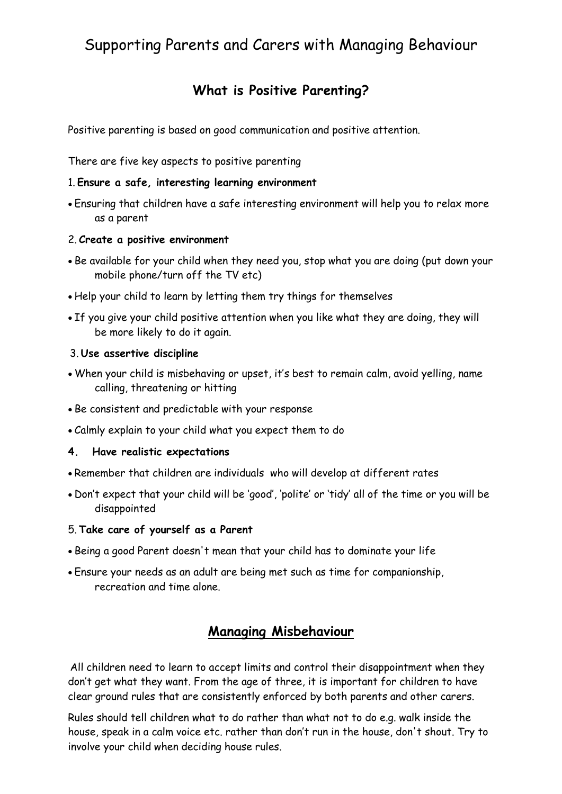# Supporting Parents and Carers with Managing Behaviour

## **What is Positive Parenting?**

Positive parenting is based on good communication and positive attention.

There are five key aspects to positive parenting

#### 1. **Ensure a safe, interesting learning environment**

 Ensuring that children have a safe interesting environment will help you to relax more as a parent

#### 2. **Create a positive environment**

- Be available for your child when they need you, stop what you are doing (put down your mobile phone/turn off the TV etc)
- Help your child to learn by letting them try things for themselves
- If you give your child positive attention when you like what they are doing, they will be more likely to do it again.

#### 3. **Use assertive discipline**

- When your child is misbehaving or upset, it's best to remain calm, avoid yelling, name calling, threatening or hitting
- Be consistent and predictable with your response
- Calmly explain to your child what you expect them to do

#### **4. Have realistic expectations**

- Remember that children are individuals who will develop at different rates
- Don't expect that your child will be 'good', 'polite' or 'tidy' all of the time or you will be disappointed
- 5. **Take care of yourself as a Parent**
- Being a good Parent doesn't mean that your child has to dominate your life
- Ensure your needs as an adult are being met such as time for companionship, recreation and time alone.

### **Managing Misbehaviour**

All children need to learn to accept limits and control their disappointment when they don't get what they want. From the age of three, it is important for children to have clear ground rules that are consistently enforced by both parents and other carers.

Rules should tell children what to do rather than what not to do e.g. walk inside the house, speak in a calm voice etc. rather than don't run in the house, don't shout. Try to involve your child when deciding house rules.